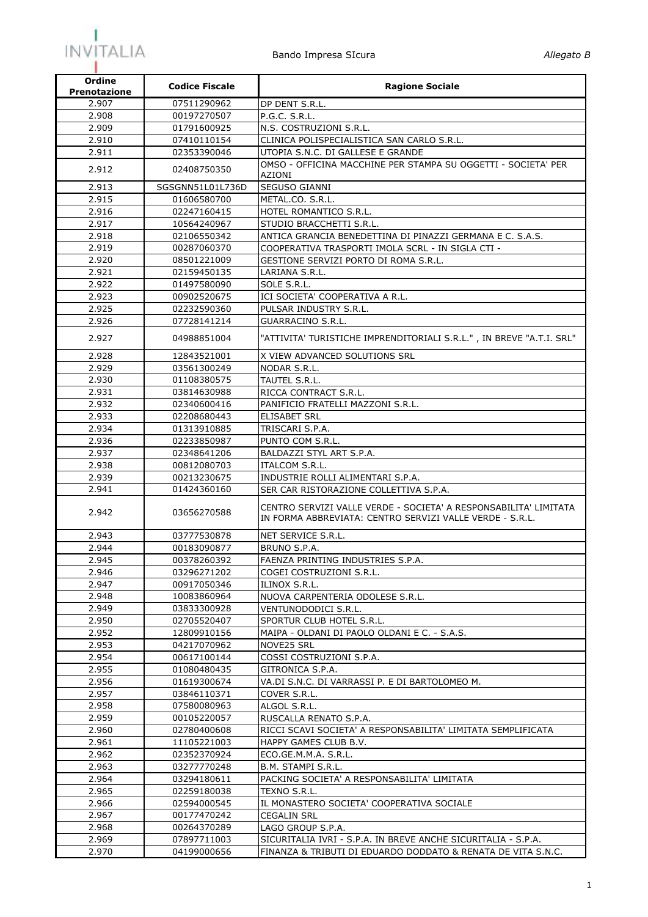

| Ordine<br><b>Prenotazione</b> | <b>Codice Fiscale</b> | <b>Ragione Sociale</b>                                                                                                       |
|-------------------------------|-----------------------|------------------------------------------------------------------------------------------------------------------------------|
| 2.907                         | 07511290962           | DP DENT S.R.L.                                                                                                               |
| 2.908                         | 00197270507           | P.G.C. S.R.L.                                                                                                                |
| 2.909                         | 01791600925           | N.S. COSTRUZIONI S.R.L.                                                                                                      |
| 2.910                         | 07410110154           | CLINICA POLISPECIALISTICA SAN CARLO S.R.L.                                                                                   |
| 2.911                         | 02353390046           | UTOPIA S.N.C. DI GALLESE E GRANDE                                                                                            |
| 2.912                         | 02408750350           | OMSO - OFFICINA MACCHINE PER STAMPA SU OGGETTI - SOCIETA' PER<br>AZIONI                                                      |
| 2.913                         | SGSGNN51L01L736D      | <b>SEGUSO GIANNI</b>                                                                                                         |
| 2.915                         | 01606580700           | METAL.CO. S.R.L.                                                                                                             |
| 2.916                         | 02247160415           | HOTEL ROMANTICO S.R.L.                                                                                                       |
| 2.917                         | 10564240967           | STUDIO BRACCHETTI S.R.L.                                                                                                     |
| 2.918                         | 02106550342           | ANTICA GRANCIA BENEDETTINA DI PINAZZI GERMANA E C. S.A.S.                                                                    |
| 2.919                         | 00287060370           | COOPERATIVA TRASPORTI IMOLA SCRL - IN SIGLA CTI -                                                                            |
| 2.920                         | 08501221009           | GESTIONE SERVIZI PORTO DI ROMA S.R.L.                                                                                        |
| 2.921                         | 02159450135           | LARIANA S.R.L.                                                                                                               |
| 2.922                         | 01497580090           | SOLE S.R.L.                                                                                                                  |
| 2.923                         | 00902520675           | ICI SOCIETA' COOPERATIVA A R.L.                                                                                              |
| 2.925                         | 02232590360           | PULSAR INDUSTRY S.R.L.                                                                                                       |
| 2.926                         | 07728141214           | GUARRACINO S.R.L.                                                                                                            |
| 2.927                         | 04988851004           | "ATTIVITA' TURISTICHE IMPRENDITORIALI S.R.L.", IN BREVE "A.T.I. SRL"                                                         |
| 2.928                         | 12843521001           | X VIEW ADVANCED SOLUTIONS SRL                                                                                                |
| 2.929                         | 03561300249           | NODAR S.R.L.                                                                                                                 |
| 2.930                         | 01108380575           | TAUTEL S.R.L.                                                                                                                |
| 2.931                         | 03814630988           | RICCA CONTRACT S.R.L.                                                                                                        |
| 2.932                         | 02340600416           | PANIFICIO FRATELLI MAZZONI S.R.L.                                                                                            |
| 2.933                         | 02208680443           | <b>ELISABET SRL</b>                                                                                                          |
| 2.934                         | 01313910885           | TRISCARI S.P.A.                                                                                                              |
| 2.936                         | 02233850987           | PUNTO COM S.R.L.                                                                                                             |
| 2.937                         | 02348641206           | BALDAZZI STYL ART S.P.A.                                                                                                     |
| 2.938                         | 00812080703           | ITALCOM S.R.L.                                                                                                               |
| 2.939                         | 00213230675           | INDUSTRIE ROLLI ALIMENTARI S.P.A.                                                                                            |
| 2.941                         | 01424360160           | SER CAR RISTORAZIONE COLLETTIVA S.P.A.                                                                                       |
| 2.942                         | 03656270588           | CENTRO SERVIZI VALLE VERDE - SOCIETA' A RESPONSABILITA' LIMITATA<br>IN FORMA ABBREVIATA: CENTRO SERVIZI VALLE VERDE - S.R.L. |
| 2.943                         | 03777530878           | NET SERVICE S.R.L.                                                                                                           |
| 2.944                         | 00183090877           | BRUNO S.P.A.                                                                                                                 |
| 2.945                         | 00378260392           | FAENZA PRINTING INDUSTRIES S.P.A.                                                                                            |
| 2.946                         | 03296271202           | COGEI COSTRUZIONI S.R.L.                                                                                                     |
| 2.947                         | 00917050346           | ILINOX S.R.L.                                                                                                                |
| 2.948                         | 10083860964           | NUOVA CARPENTERIA ODOLESE S.R.L.                                                                                             |
| 2.949                         | 03833300928           | VENTUNODODICI S.R.L.                                                                                                         |
| 2.950                         | 02705520407           | SPORTUR CLUB HOTEL S.R.L.                                                                                                    |
| 2.952                         | 12809910156           | MAIPA - OLDANI DI PAOLO OLDANI E C. - S.A.S.                                                                                 |
| 2.953                         | 04217070962           | NOVE25 SRL                                                                                                                   |
| 2.954                         | 00617100144           | COSSI COSTRUZIONI S.P.A.                                                                                                     |
| 2.955                         | 01080480435           | GITRONICA S.P.A.                                                                                                             |
| 2.956                         | 01619300674           | VA.DI S.N.C. DI VARRASSI P. E DI BARTOLOMEO M.                                                                               |
| 2.957                         | 03846110371           | COVER S.R.L.                                                                                                                 |
| 2.958                         | 07580080963           | ALGOL S.R.L.                                                                                                                 |
| 2.959                         | 00105220057           | RUSCALLA RENATO S.P.A.                                                                                                       |
| 2.960                         | 02780400608           | RICCI SCAVI SOCIETA' A RESPONSABILITA' LIMITATA SEMPLIFICATA                                                                 |
| 2.961                         | 11105221003           | HAPPY GAMES CLUB B.V.                                                                                                        |
| 2.962                         | 02352370924           | ECO.GE.M.M.A. S.R.L.                                                                                                         |
| 2.963                         | 03277770248           | B.M. STAMPI S.R.L.                                                                                                           |
| 2.964                         | 03294180611           | PACKING SOCIETA' A RESPONSABILITA' LIMITATA                                                                                  |
| 2.965                         | 02259180038           | TEXNO S.R.L.                                                                                                                 |
| 2.966                         | 02594000545           | IL MONASTERO SOCIETA' COOPERATIVA SOCIALE                                                                                    |
| 2.967                         | 00177470242           | CEGALIN SRL                                                                                                                  |
| 2.968                         | 00264370289           | LAGO GROUP S.P.A.                                                                                                            |
| 2.969                         | 07897711003           | SICURITALIA IVRI - S.P.A. IN BREVE ANCHE SICURITALIA - S.P.A.                                                                |
| 2.970                         | 04199000656           | FINANZA & TRIBUTI DI EDUARDO DODDATO & RENATA DE VITA S.N.C.                                                                 |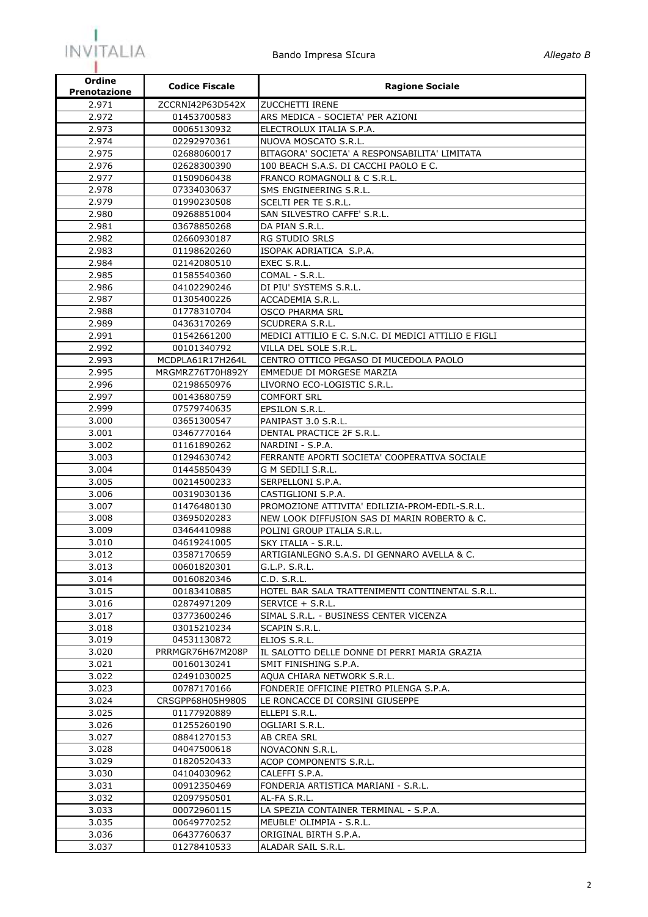

| Ordine<br><b>Prenotazione</b> | <b>Codice Fiscale</b>      | <b>Ragione Sociale</b>                                                  |
|-------------------------------|----------------------------|-------------------------------------------------------------------------|
| 2.971                         | ZCCRNI42P63D542X           | <b>ZUCCHETTI IRENE</b>                                                  |
| 2.972                         | 01453700583                | ARS MEDICA - SOCIETA' PER AZIONI                                        |
| 2.973                         | 00065130932                | ELECTROLUX ITALIA S.P.A.                                                |
| 2.974                         | 02292970361                | NUOVA MOSCATO S.R.L.                                                    |
| 2.975                         | 02688060017                | BITAGORA' SOCIETA' A RESPONSABILITA' LIMITATA                           |
| 2.976                         | 02628300390                | 100 BEACH S.A.S. DI CACCHI PAOLO E C.                                   |
| 2.977                         | 01509060438                | FRANCO ROMAGNOLI & C S.R.L.                                             |
| 2.978                         | 07334030637                | SMS ENGINEERING S.R.L.                                                  |
| 2.979                         | 01990230508                | SCELTI PER TE S.R.L.                                                    |
| 2.980                         | 09268851004                | SAN SILVESTRO CAFFE' S.R.L.                                             |
| 2.981                         | 03678850268                | DA PIAN S.R.L.                                                          |
| 2.982                         | 02660930187                | RG STUDIO SRLS                                                          |
| 2.983                         | 01198620260                | ISOPAK ADRIATICA S.P.A.                                                 |
| 2.984                         | 02142080510                | EXEC S.R.L.                                                             |
| 2.985                         | 01585540360                | COMAL - S.R.L.                                                          |
| 2.986                         | 04102290246                | DI PIU' SYSTEMS S.R.L.                                                  |
| 2.987                         | 01305400226                | ACCADEMIA S.R.L.                                                        |
| 2.988                         | 01778310704                | <b>OSCO PHARMA SRL</b>                                                  |
| 2.989<br>2.991                | 04363170269<br>01542661200 | SCUDRERA S.R.L.<br>MEDICI ATTILIO E C. S.N.C. DI MEDICI ATTILIO E FIGLI |
| 2.992                         | 00101340792                | VILLA DEL SOLE S.R.L.                                                   |
| 2.993                         | MCDPLA61R17H264L           | CENTRO OTTICO PEGASO DI MUCEDOLA PAOLO                                  |
| 2.995                         | MRGMRZ76T70H892Y           | EMMEDUE DI MORGESE MARZIA                                               |
| 2.996                         | 02198650976                | LIVORNO ECO-LOGISTIC S.R.L.                                             |
| 2.997                         | 00143680759                | <b>COMFORT SRL</b>                                                      |
| 2.999                         | 07579740635                | EPSILON S.R.L.                                                          |
| 3.000                         | 03651300547                | PANIPAST 3.0 S.R.L.                                                     |
| 3.001                         | 03467770164                | DENTAL PRACTICE 2F S.R.L.                                               |
| 3.002                         | 01161890262                | NARDINI - S.P.A.                                                        |
| 3.003                         | 01294630742                | FERRANTE APORTI SOCIETA' COOPERATIVA SOCIALE                            |
| 3.004                         | 01445850439                | G M SEDILI S.R.L.                                                       |
| 3.005                         | 00214500233                | SERPELLONI S.P.A.                                                       |
| 3.006                         | 00319030136                | CASTIGLIONI S.P.A.                                                      |
| 3.007                         | 01476480130                | PROMOZIONE ATTIVITA' EDILIZIA-PROM-EDIL-S.R.L.                          |
| 3.008                         | 03695020283                | NEW LOOK DIFFUSION SAS DI MARIN ROBERTO & C.                            |
| 3.009                         | 03464410988                | POLINI GROUP ITALIA S.R.L.                                              |
| 3.010                         | 04619241005                | SKY ITALIA - S.R.L.                                                     |
| 3.012                         | 03587170659                | ARTIGIANLEGNO S.A.S. DI GENNARO AVELLA & C.                             |
| 3.013                         | 00601820301                | G.L.P. S.R.L.                                                           |
| 3.014                         | 00160820346                | C.D. S.R.L.                                                             |
| 3.015                         | 00183410885                | HOTEL BAR SALA TRATTENIMENTI CONTINENTAL S.R.L.                         |
| 3.016                         | 02874971209                | SERVICE + S.R.L.                                                        |
| 3.017                         | 03773600246                | SIMAL S.R.L. - BUSINESS CENTER VICENZA<br>SCAPIN S.R.L.                 |
| 3.018<br>3.019                | 03015210234<br>04531130872 | ELIOS S.R.L.                                                            |
| 3.020                         | PRRMGR76H67M208P           | IL SALOTTO DELLE DONNE DI PERRI MARIA GRAZIA                            |
| 3.021                         | 00160130241                | SMIT FINISHING S.P.A.                                                   |
| 3.022                         | 02491030025                | AQUA CHIARA NETWORK S.R.L.                                              |
| 3.023                         | 00787170166                | FONDERIE OFFICINE PIETRO PILENGA S.P.A.                                 |
| 3.024                         | CRSGPP68H05H980S           | LE RONCACCE DI CORSINI GIUSEPPE                                         |
| 3.025                         | 01177920889                | ELLEPI S.R.L.                                                           |
| 3.026                         | 01255260190                | OGLIARI S.R.L.                                                          |
| 3.027                         | 08841270153                | AB CREA SRL                                                             |
| 3.028                         | 04047500618                | NOVACONN S.R.L.                                                         |
| 3.029                         | 01820520433                | ACOP COMPONENTS S.R.L.                                                  |
| 3.030                         | 04104030962                | CALEFFI S.P.A.                                                          |
| 3.031                         | 00912350469                | FONDERIA ARTISTICA MARIANI - S.R.L.                                     |
| 3.032                         | 02097950501                | AL-FA S.R.L.                                                            |
| 3.033                         | 00072960115                | LA SPEZIA CONTAINER TERMINAL - S.P.A.                                   |
| 3.035                         | 00649770252                | MEUBLE' OLIMPIA - S.R.L.                                                |
| 3.036                         | 06437760637                | ORIGINAL BIRTH S.P.A.                                                   |
| 3.037                         | 01278410533                | ALADAR SAIL S.R.L.                                                      |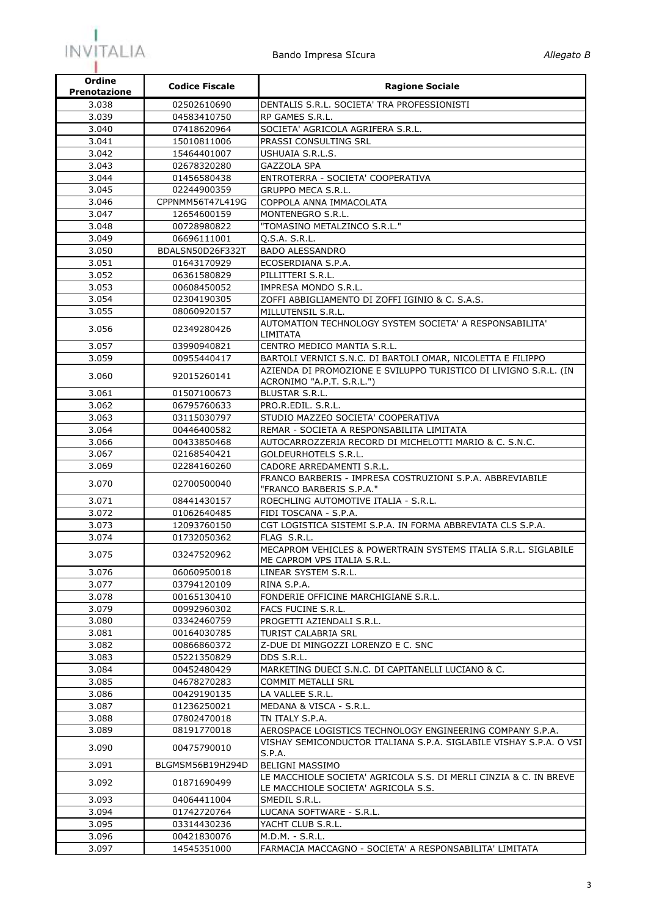

| Ordine<br><b>Prenotazione</b> | <b>Codice Fiscale</b>      | <b>Ragione Sociale</b>                                                                                   |
|-------------------------------|----------------------------|----------------------------------------------------------------------------------------------------------|
| 3.038                         | 02502610690                | DENTALIS S.R.L. SOCIETA' TRA PROFESSIONISTI                                                              |
| 3.039                         | 04583410750                | RP GAMES S.R.L.                                                                                          |
| 3.040                         | 07418620964                | SOCIETA' AGRICOLA AGRIFERA S.R.L.                                                                        |
| 3.041                         | 15010811006                | PRASSI CONSULTING SRL                                                                                    |
| 3.042                         | 15464401007                | USHUAIA S.R.L.S.                                                                                         |
| 3.043                         | 02678320280                | GAZZOLA SPA                                                                                              |
| 3.044                         | 01456580438                | ENTROTERRA - SOCIETA' COOPERATIVA                                                                        |
| 3.045                         | 02244900359                | GRUPPO MECA S.R.L.                                                                                       |
| 3.046                         | CPPNMM56T47L419G           | COPPOLA ANNA IMMACOLATA                                                                                  |
| 3.047                         | 12654600159                | MONTENEGRO S.R.L.                                                                                        |
| 3.048                         | 00728980822                | "TOMASINO METALZINCO S.R.L."                                                                             |
| 3.049                         | 06696111001                | Q.S.A. S.R.L.                                                                                            |
| 3.050                         | BDALSN50D26F332T           | <b>BADO ALESSANDRO</b>                                                                                   |
| 3.051<br>3.052                | 01643170929                | ECOSERDIANA S.P.A.                                                                                       |
| 3.053                         | 06361580829                | PILLITTERI S.R.L.<br>IMPRESA MONDO S.R.L.                                                                |
| 3.054                         | 00608450052<br>02304190305 | ZOFFI ABBIGLIAMENTO DI ZOFFI IGINIO & C. S.A.S.                                                          |
| 3.055                         | 08060920157                | MILLUTENSIL S.R.L.                                                                                       |
|                               |                            | AUTOMATION TECHNOLOGY SYSTEM SOCIETA' A RESPONSABILITA'                                                  |
| 3.056                         | 02349280426                | LIMITATA                                                                                                 |
| 3.057                         | 03990940821                | CENTRO MEDICO MANTIA S.R.L.                                                                              |
| 3.059                         | 00955440417                | BARTOLI VERNICI S.N.C. DI BARTOLI OMAR, NICOLETTA E FILIPPO                                              |
|                               | 92015260141                | AZIENDA DI PROMOZIONE E SVILUPPO TURISTICO DI LIVIGNO S.R.L. (IN                                         |
| 3.060                         |                            | ACRONIMO "A.P.T. S.R.L.")                                                                                |
| 3.061                         | 01507100673                | BLUSTAR S.R.L.                                                                                           |
| 3.062                         | 06795760633                | PRO.R.EDIL. S.R.L.                                                                                       |
| 3.063                         | 03115030797                | STUDIO MAZZEO SOCIETA' COOPERATIVA                                                                       |
| 3.064                         | 00446400582                | REMAR - SOCIETA A RESPONSABILITA LIMITATA                                                                |
| 3.066                         | 00433850468                | AUTOCARROZZERIA RECORD DI MICHELOTTI MARIO & C. S.N.C.                                                   |
| 3.067                         | 02168540421                | GOLDEURHOTELS S.R.L.                                                                                     |
| 3.069                         | 02284160260                | CADORE ARREDAMENTI S.R.L.                                                                                |
| 3.070                         | 02700500040                | FRANCO BARBERIS - IMPRESA COSTRUZIONI S.P.A. ABBREVIABILE<br>"FRANCO BARBERIS S.P.A."                    |
| 3.071                         | 08441430157                | ROECHLING AUTOMOTIVE ITALIA - S.R.L.                                                                     |
| 3.072                         | 01062640485                | FIDI TOSCANA - S.P.A.                                                                                    |
| 3.073                         | 12093760150                | CGT LOGISTICA SISTEMI S.P.A. IN FORMA ABBREVIATA CLS S.P.A.                                              |
| 3.074                         | 01732050362                | FLAG S.R.L.                                                                                              |
|                               |                            | MECAPROM VEHICLES & POWERTRAIN SYSTEMS ITALIA S.R.L. SIGLABILE                                           |
| 3.075                         | 03247520962                | ME CAPROM VPS ITALIA S.R.L.                                                                              |
| 3.076                         | 06060950018                | LINEAR SYSTEM S.R.L.                                                                                     |
| 3.077                         | 03794120109                | RINA S.P.A.                                                                                              |
| 3.078                         | 00165130410                | FONDERIE OFFICINE MARCHIGIANE S.R.L.                                                                     |
| 3.079                         | 00992960302                | FACS FUCINE S.R.L.                                                                                       |
| 3.080                         | 03342460759                | PROGETTI AZIENDALI S.R.L.                                                                                |
| 3.081                         | 00164030785                | TURIST CALABRIA SRL                                                                                      |
| 3.082                         | 00866860372                | Z-DUE DI MINGOZZI LORENZO E C. SNC                                                                       |
| 3.083                         | 05221350829                | DDS S.R.L.                                                                                               |
| 3.084                         | 00452480429                | MARKETING DUECI S.N.C. DI CAPITANELLI LUCIANO & C.                                                       |
| 3.085<br>3.086                | 04678270283                | COMMIT METALLI SRL                                                                                       |
| 3.087                         | 00429190135<br>01236250021 | LA VALLEE S.R.L.<br>MEDANA & VISCA - S.R.L.                                                              |
| 3.088                         | 07802470018                | TN ITALY S.P.A.                                                                                          |
| 3.089                         | 08191770018                | AEROSPACE LOGISTICS TECHNOLOGY ENGINEERING COMPANY S.P.A.                                                |
|                               |                            | VISHAY SEMICONDUCTOR ITALIANA S.P.A. SIGLABILE VISHAY S.P.A. O VSI                                       |
| 3.090                         | 00475790010                | S.P.A.                                                                                                   |
| 3.091                         | BLGMSM56B19H294D           | <b>BELIGNI MASSIMO</b>                                                                                   |
| 3.092                         | 01871690499                | LE MACCHIOLE SOCIETA' AGRICOLA S.S. DI MERLI CINZIA & C. IN BREVE<br>LE MACCHIOLE SOCIETA' AGRICOLA S.S. |
| 3.093                         | 04064411004                | SMEDIL S.R.L.                                                                                            |
| 3.094                         | 01742720764                | LUCANA SOFTWARE - S.R.L.                                                                                 |
| 3.095                         | 03314430236                | YACHT CLUB S.R.L.                                                                                        |
| 3.096                         | 00421830076                | M.D.M. - S.R.L.                                                                                          |
| 3.097                         | 14545351000                | FARMACIA MACCAGNO - SOCIETA' A RESPONSABILITA' LIMITATA                                                  |